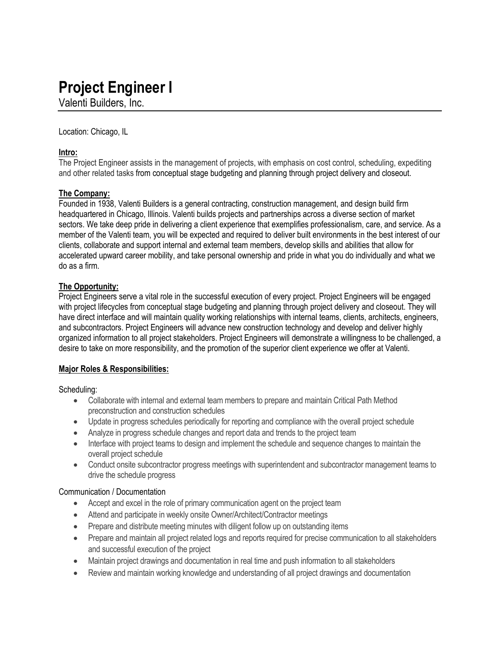# **Project Engineer I**

Valenti Builders, Inc.

Location: Chicago, IL

## **Intro:**

The Project Engineer assists in the management of projects, with emphasis on cost control, scheduling, expediting and other related tasks from conceptual stage budgeting and planning through project delivery and closeout.

## **The Company:**

Founded in 1938, Valenti Builders is a general contracting, construction management, and design build firm headquartered in Chicago, Illinois. Valenti builds projects and partnerships across a diverse section of market sectors. We take deep pride in delivering a client experience that exemplifies professionalism, care, and service. As a member of the Valenti team, you will be expected and required to deliver built environments in the best interest of our clients, collaborate and support internal and external team members, develop skills and abilities that allow for accelerated upward career mobility, and take personal ownership and pride in what you do individually and what we do as a firm.

## **The Opportunity:**

Project Engineers serve a vital role in the successful execution of every project. Project Engineers will be engaged with project lifecycles from conceptual stage budgeting and planning through project delivery and closeout. They will have direct interface and will maintain quality working relationships with internal teams, clients, architects, engineers, and subcontractors. Project Engineers will advance new construction technology and develop and deliver highly organized information to all project stakeholders. Project Engineers will demonstrate a willingness to be challenged, a desire to take on more responsibility, and the promotion of the superior client experience we offer at Valenti.

#### **Major Roles & Responsibilities:**

Scheduling:

- Collaborate with internal and external team members to prepare and maintain Critical Path Method preconstruction and construction schedules
- Update in progress schedules periodically for reporting and compliance with the overall project schedule
- Analyze in progress schedule changes and report data and trends to the project team
- Interface with project teams to design and implement the schedule and sequence changes to maintain the overall project schedule
- Conduct onsite subcontractor progress meetings with superintendent and subcontractor management teams to drive the schedule progress

#### Communication / Documentation

- Accept and excel in the role of primary communication agent on the project team
- Attend and participate in weekly onsite Owner/Architect/Contractor meetings
- Prepare and distribute meeting minutes with diligent follow up on outstanding items
- Prepare and maintain all project related logs and reports required for precise communication to all stakeholders and successful execution of the project
- Maintain project drawings and documentation in real time and push information to all stakeholders
- Review and maintain working knowledge and understanding of all project drawings and documentation